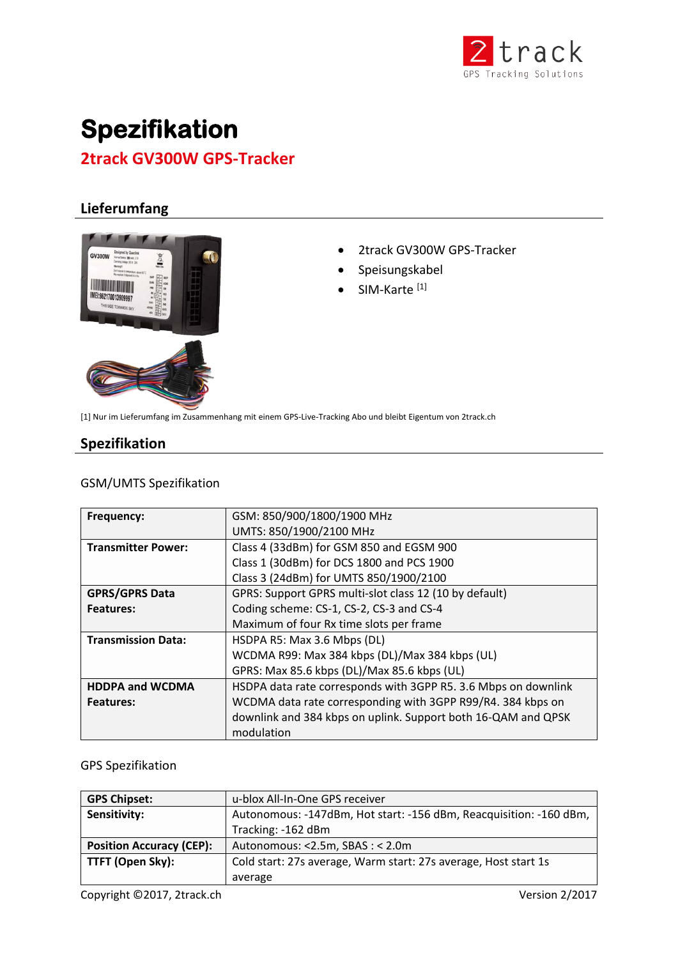

# **Spezifikation 2track GV300W GPS-Tracker**

# **Lieferumfang**



- 2track GV300W GPS-Tracker
- Speisungskabel
- SIM-Karte<sup>[1]</sup>

[1] Nur im Lieferumfang im Zusammenhang mit einem GPS-Live-Tracking Abo und bleibt Eigentum von 2track.ch

# **Spezifikation**

#### GSM/UMTS Spezifikation

| <b>Frequency:</b>         | GSM: 850/900/1800/1900 MHz                                     |
|---------------------------|----------------------------------------------------------------|
|                           | UMTS: 850/1900/2100 MHz                                        |
| <b>Transmitter Power:</b> | Class 4 (33dBm) for GSM 850 and EGSM 900                       |
|                           | Class 1 (30dBm) for DCS 1800 and PCS 1900                      |
|                           | Class 3 (24dBm) for UMTS 850/1900/2100                         |
| <b>GPRS/GPRS Data</b>     | GPRS: Support GPRS multi-slot class 12 (10 by default)         |
| <b>Features:</b>          | Coding scheme: CS-1, CS-2, CS-3 and CS-4                       |
|                           | Maximum of four Rx time slots per frame                        |
| <b>Transmission Data:</b> | HSDPA R5: Max 3.6 Mbps (DL)                                    |
|                           | WCDMA R99: Max 384 kbps (DL)/Max 384 kbps (UL)                 |
|                           | GPRS: Max 85.6 kbps (DL)/Max 85.6 kbps (UL)                    |
| <b>HDDPA and WCDMA</b>    | HSDPA data rate corresponds with 3GPP R5. 3.6 Mbps on downlink |
| <b>Features:</b>          | WCDMA data rate corresponding with 3GPP R99/R4. 384 kbps on    |
|                           | downlink and 384 kbps on uplink. Support both 16-QAM and QPSK  |
|                           | modulation                                                     |

#### GPS Spezifikation

| <b>GPS Chipset:</b>             | u-blox All-In-One GPS receiver                                     |
|---------------------------------|--------------------------------------------------------------------|
| Sensitivity:                    | Autonomous: -147dBm, Hot start: -156 dBm, Reacquisition: -160 dBm, |
|                                 | Tracking: -162 dBm                                                 |
| <b>Position Accuracy (CEP):</b> | Autonomous: <2.5m, SBAS: < 2.0m                                    |
| TTFT (Open Sky):                | Cold start: 27s average, Warm start: 27s average, Host start 1s    |
|                                 | average                                                            |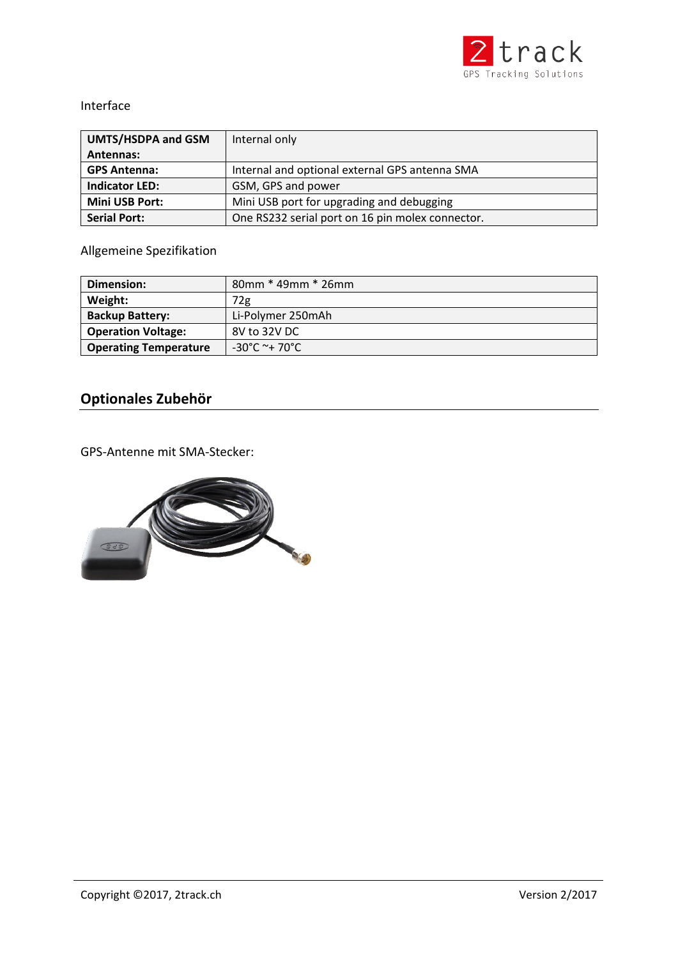

#### Interface

| <b>UMTS/HSDPA and GSM</b> | Internal only                                    |
|---------------------------|--------------------------------------------------|
| Antennas:                 |                                                  |
| <b>GPS Antenna:</b>       | Internal and optional external GPS antenna SMA   |
| <b>Indicator LED:</b>     | GSM, GPS and power                               |
| <b>Mini USB Port:</b>     | Mini USB port for upgrading and debugging        |
| <b>Serial Port:</b>       | One RS232 serial port on 16 pin molex connector. |

### Allgemeine Spezifikation

| Dimension:                   | $80$ mm $*$ 49mm $*$ 26mm |
|------------------------------|---------------------------|
| Weight:                      | 72g                       |
| <b>Backup Battery:</b>       | Li-Polymer 250mAh         |
| <b>Operation Voltage:</b>    | 8V to 32V DC              |
| <b>Operating Temperature</b> | $-30^{\circ}$ C ~+ 70°C   |

# **Optionales Zubehör**

GPS-Antenne mit SMA-Stecker: